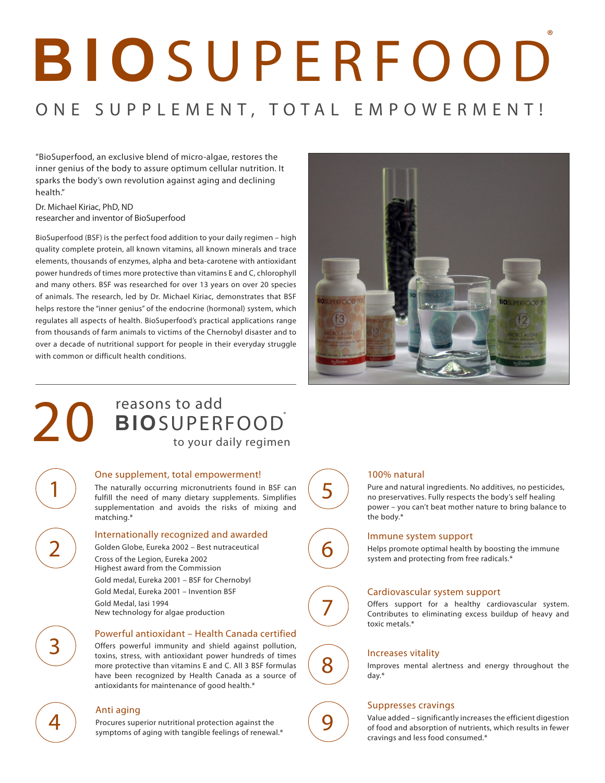# **B I O** S U P E R F O O D ®

# ONE SUPPLEMENT, TOTAL EMPOWERMENT!

"BioSuperfood, an exclusive blend of micro-algae, restores the inner genius of the body to assure optimum cellular nutrition. It sparks the body's own revolution against aging and declining health."

Dr. Michael Kiriac, PhD, ND researcher and inventor of BioSuperfood

BioSuperfood (BSF) is the perfect food addition to your daily regimen – high quality complete protein, all known vitamins, all known minerals and trace elements, thousands of enzymes, alpha and beta-carotene with antioxidant power hundreds of times more protective than vitamins E and C, chlorophyll and many others. BSF was researched for over 13 years on over 20 species of animals. The research, led by Dr. Michael Kiriac, demonstrates that BSF helps restore the "inner genius" of the endocrine (hormonal) system, which regulates all aspects of health. BioSuperfood's practical applications range from thousands of farm animals to victims of the Chernobyl disaster and to over a decade of nutritional support for people in their everyday struggle with common or difficult health conditions.



## 20 **BIOSUPER** to your d **BIO**SUPERFOOD® to your daily regimen

#### One supplement, total empowerment!

The naturally occurring micronutrients found in BSF can fulfill the need of many dietary supplements. Simplifies supplementation and avoids the risks of mixing and matching.\*

#### Internationally recognized and awarded

Golden Globe, Eureka 2002 – Best nutraceutical Cross of the Legion, Eureka 2002 Highest award from the Commission Gold medal, Eureka 2001 – BSF for Chernobyl Gold Medal, Eureka 2001 – Invention BSF Gold Medal, Iasi 1994 New technology for algae production

### Powerful antioxidant – Health Canada certified

Offers powerful immunity and shield against pollution, toxins, stress, with antioxidant power hundreds of times more protective than vitamins E and C. All 3 BSF formulas have been recognized by Health Canada as a source of antioxidants for maintenance of good health.\*

1

2

3

 $\left( \begin{array}{c} \begin{array}{c} \begin{array}{c} \begin{array}{c} \end{array}\\ \end{array} \end{array} \right) \begin{array}{c} \begin{array}{c} \begin{array}{c} \text{Anti } \text{aging} \end{array} \end{array} \end{array} \end{array}$ Procures superior nutritional protection against the symptoms of aging with tangible feelings of renewal.\*



7

9

#### 100% natural

Pure and natural ingredients. No additives, no pesticides, no preservatives. Fully respects the body's self healing power – you can't beat mother nature to bring balance to the body.\*

**1988** Immune system support<br>**1988** Helps promote optimal health Helps promote optimal health by boosting the immune system and protecting from free radicals.\*

#### Cardiovascular system support

Offers support for a healthy cardiovascular system. Contributes to eliminating excess buildup of heavy and toxic metals.\*

**8** Increases vitality<br>mproves mental ale Improves mental alertness and energy throughout the day.\*

#### Suppresses cravings

Value added – significantly increases the efficient digestion of food and absorption of nutrients, which results in fewer cravings and less food consumed.\*